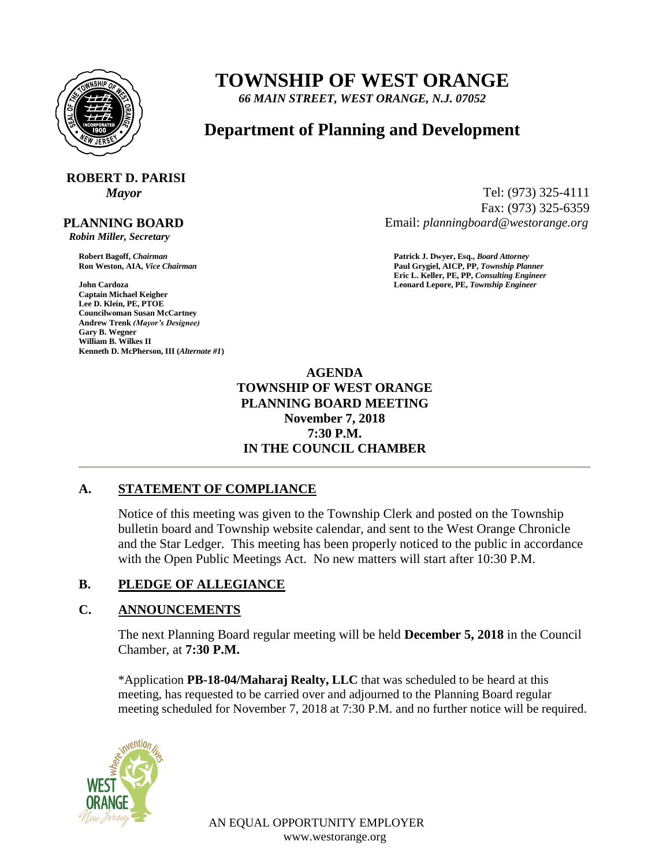

# **TOWNSHIP OF WEST ORANGE**

*66 MAIN STREET, WEST ORANGE, N.J. 07052*

# **Department of Planning and Development**

# **ROBERT D. PARISI**

#### **PLANNING BOARD**

 *Robin Miller, Secretary*

**John Cardoza Leonard Lepore, PE,** *Township Engineer* **Captain Michael Keigher Lee D. Klein, PE, PTOE Councilwoman Susan McCartney Andrew Trenk** *(Mayor's Designee)* **Gary B. Wegner William B. Wilkes II Kenneth D. McPherson, III (***Alternate #1***)**

*Mayor* Tel: (973) 325-4111 Fax: (973) 325-6359 Email: *planningboard@westorange.org*

**Robert Bagoff,** *Chairman* **Patrick J. Dwyer, Esq.,** *Board Attorney* **Ron Weston, AIA,** *Vice Chairman* **Paul Grygiel, AICP, PP,** *Township Planner* **Eric L. Keller, PE, PP,** *Consulting Engineer*

> **AGENDA TOWNSHIP OF WEST ORANGE PLANNING BOARD MEETING November 7, 2018 7:30 P.M. IN THE COUNCIL CHAMBER**

## **A. STATEMENT OF COMPLIANCE**

Notice of this meeting was given to the Township Clerk and posted on the Township bulletin board and Township website calendar, and sent to the West Orange Chronicle and the Star Ledger. This meeting has been properly noticed to the public in accordance with the Open Public Meetings Act. No new matters will start after 10:30 P.M.

## **B. PLEDGE OF ALLEGIANCE**

## **C. ANNOUNCEMENTS**

The next Planning Board regular meeting will be held **December 5, 2018** in the Council Chamber, at **7:30 P.M.**

\*Application **PB-18-04/Maharaj Realty, LLC** that was scheduled to be heard at this meeting, has requested to be carried over and adjourned to the Planning Board regular meeting scheduled for November 7, 2018 at 7:30 P.M. and no further notice will be required.